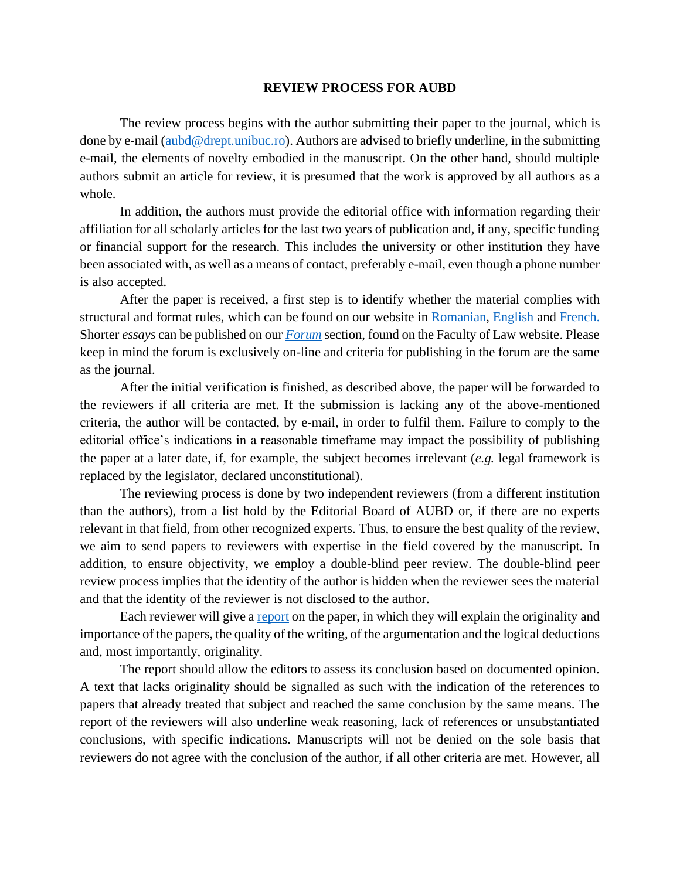## **REVIEW PROCESS FOR AUBD**

The review process begins with the author submitting their paper to the journal, which is done by e-mail [\(aubd@drept.unibuc.ro\)](mailto:aubd@drept.unibuc.ro). Authors are advised to briefly underline, in the submitting e-mail, the elements of novelty embodied in the manuscript. On the other hand, should multiple authors submit an article for review, it is presumed that the work is approved by all authors as a whole.

In addition, the authors must provide the editorial office with information regarding their affiliation for all scholarly articles for the last two years of publication and, if any, specific funding or financial support for the research. This includes the university or other institution they have been associated with, as well as a means of contact, preferably e-mail, even though a phone number is also accepted.

After the paper is received, a first step is to identify whether the material complies with structural and format rules, which can be found on our website in [Romanian,](https://drept.unibuc.ro/Conditii-de-publicare-s93-ro.htm) [English](https://drept.unibuc.ro/Conditii-de-publicare-s93-en.htm) an[d French.](https://drept.unibuc.ro/Conditii-de-publicare-s93-fr.htm) Shorter *essays* can be published on our *[Forum](https://drept.unibuc.ro/Forum-juridic-s938-ro.htm)* section, found on the Faculty of Law website. Please keep in mind the forum is exclusively on-line and criteria for publishing in the forum are the same as the journal.

After the initial verification is finished, as described above, the paper will be forwarded to the reviewers if all criteria are met. If the submission is lacking any of the above-mentioned criteria, the author will be contacted, by e-mail, in order to fulfil them. Failure to comply to the editorial office's indications in a reasonable timeframe may impact the possibility of publishing the paper at a later date, if, for example, the subject becomes irrelevant (*e.g.* legal framework is replaced by the legislator, declared unconstitutional).

The reviewing process is done by two independent reviewers (from a different institution than the authors), from a list hold by the Editorial Board of AUBD or, if there are no experts relevant in that field, from other recognized experts. Thus, to ensure the best quality of the review, we aim to send papers to reviewers with expertise in the field covered by the manuscript. In addition, to ensure objectivity, we employ a double-blind peer review. The double-blind peer review process implies that the identity of the author is hidden when the reviewer sees the material and that the identity of the reviewer is not disclosed to the author.

Each reviewer will give [a report](https://drept.unibuc.ro/dyn_doc/publicatii/fisa-de-recenzie.pdf) on the paper, in which they will explain the originality and importance of the papers, the quality of the writing, of the argumentation and the logical deductions and, most importantly, originality.

The report should allow the editors to assess its conclusion based on documented opinion. A text that lacks originality should be signalled as such with the indication of the references to papers that already treated that subject and reached the same conclusion by the same means. The report of the reviewers will also underline weak reasoning, lack of references or unsubstantiated conclusions, with specific indications. Manuscripts will not be denied on the sole basis that reviewers do not agree with the conclusion of the author, if all other criteria are met. However, all